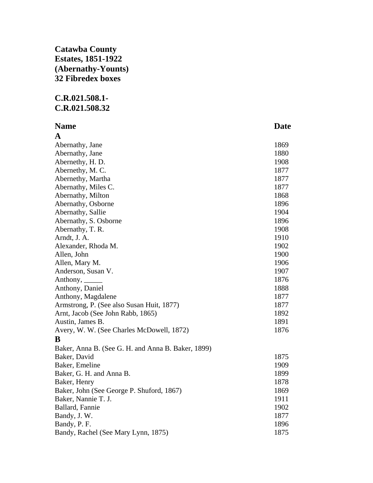## **Catawba County Estates, 1851-1922 (Abernathy-Younts) 32 Fibredex boxes**

## **C.R.021.508.1- C.R.021.508.32**

| <b>Name</b>                                        | <b>Date</b> |
|----------------------------------------------------|-------------|
| A                                                  |             |
| Abernathy, Jane                                    | 1869        |
| Abernathy, Jane                                    | 1880        |
| Abernethy, H. D.                                   | 1908        |
| Abernethy, M.C.                                    | 1877        |
| Abernethy, Martha                                  | 1877        |
| Abernathy, Miles C.                                | 1877        |
| Abernathy, Milton                                  | 1868        |
| Abernathy, Osborne                                 | 1896        |
| Abernathy, Sallie                                  | 1904        |
| Abernathy, S. Osborne                              | 1896        |
| Abernathy, T. R.                                   | 1908        |
| Arndt, J. A.                                       | 1910        |
| Alexander, Rhoda M.                                | 1902        |
| Allen, John                                        | 1900        |
| Allen, Mary M.                                     | 1906        |
| Anderson, Susan V.                                 | 1907        |
| Anthony, $\_\_\_\_\_\_\_\_\$                       | 1876        |
| Anthony, Daniel                                    | 1888        |
| Anthony, Magdalene                                 | 1877        |
| Armstrong, P. (See also Susan Huit, 1877)          | 1877        |
| Arnt, Jacob (See John Rabb, 1865)                  | 1892        |
| Austin, James B.                                   | 1891        |
| Avery, W. W. (See Charles McDowell, 1872)          | 1876        |
| B                                                  |             |
| Baker, Anna B. (See G. H. and Anna B. Baker, 1899) |             |
| Baker, David                                       | 1875        |
| Baker, Emeline                                     | 1909        |
| Baker, G. H. and Anna B.                           | 1899        |
| Baker, Henry                                       | 1878        |
| Baker, John (See George P. Shuford, 1867)          | 1869        |
| Baker, Nannie T. J.                                | 1911        |
| Ballard, Fannie                                    | 1902        |
| Bandy, J. W.                                       | 1877        |
| Bandy, P. F.                                       | 1896        |
| Bandy, Rachel (See Mary Lynn, 1875)                | 1875        |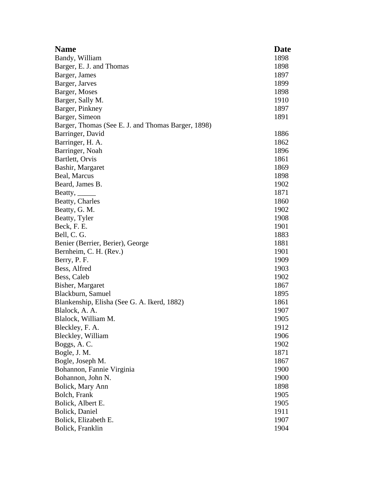| <b>Name</b>                                        | <b>Date</b> |
|----------------------------------------------------|-------------|
| Bandy, William                                     | 1898        |
| Barger, E. J. and Thomas                           | 1898        |
| Barger, James                                      | 1897        |
| Barger, Jarves                                     | 1899        |
| Barger, Moses                                      | 1898        |
| Barger, Sally M.                                   | 1910        |
| Barger, Pinkney                                    | 1897        |
| Barger, Simeon                                     | 1891        |
| Barger, Thomas (See E. J. and Thomas Barger, 1898) |             |
| Barringer, David                                   | 1886        |
| Barringer, H. A.                                   | 1862        |
| Barringer, Noah                                    | 1896        |
| Bartlett, Orvis                                    | 1861        |
| Bashir, Margaret                                   | 1869        |
| Beal, Marcus                                       | 1898        |
| Beard, James B.                                    | 1902        |
| Beatty, $\frac{1}{\sqrt{2\pi}}$                    | 1871        |
| Beatty, Charles                                    | 1860        |
| Beatty, G. M.                                      | 1902        |
| Beatty, Tyler                                      | 1908        |
| Beck, F. E.                                        | 1901        |
| Bell, C. G.                                        | 1883        |
| Benier (Berrier, Berier), George                   | 1881        |
| Bernheim, C. H. (Rev.)                             | 1901        |
| Berry, P. F.                                       | 1909        |
| Bess, Alfred                                       | 1903        |
| Bess, Caleb                                        | 1902        |
| Bisher, Margaret                                   | 1867        |
| Blackburn, Samuel                                  | 1895        |
| Blankenship, Elisha (See G. A. Ikerd, 1882)        | 1861        |
| Blalock, A. A.                                     | 1907        |
| Blalock, William M.                                | 1905        |
| Bleckley, F. A.                                    | 1912        |
| Bleckley, William                                  | 1906        |
| Boggs, A.C.                                        | 1902        |
| Bogle, J. M.                                       | 1871        |
| Bogle, Joseph M.                                   | 1867        |
| Bohannon, Fannie Virginia                          | 1900        |
| Bohannon, John N.                                  | 1900        |
| Bolick, Mary Ann                                   | 1898        |
| Bolch, Frank                                       | 1905        |
| Bolick, Albert E.                                  | 1905        |
| Bolick, Daniel                                     | 1911        |
| Bolick, Elizabeth E.                               | 1907        |
| Bolick, Franklin                                   | 1904        |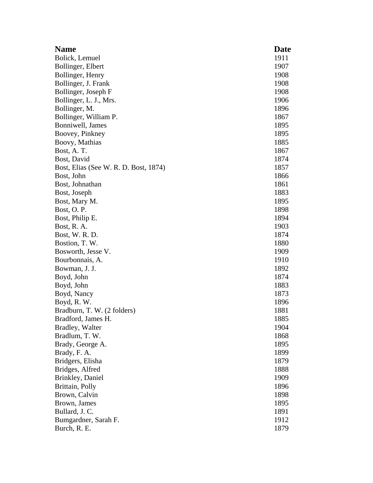| <b>Name</b>                           | <b>Date</b> |
|---------------------------------------|-------------|
| Bolick, Lemuel                        | 1911        |
| Bollinger, Elbert                     | 1907        |
| Bollinger, Henry                      | 1908        |
| Bollinger, J. Frank                   | 1908        |
| Bollinger, Joseph F                   | 1908        |
| Bollinger, L. J., Mrs.                | 1906        |
| Bollinger, M.                         | 1896        |
| Bollinger, William P.                 | 1867        |
| Bonniwell, James                      | 1895        |
| Boovey, Pinkney                       | 1895        |
| Boovy, Mathias                        | 1885        |
| Bost, A.T.                            | 1867        |
| Bost, David                           | 1874        |
| Bost, Elias (See W. R. D. Bost, 1874) | 1857        |
| Bost, John                            | 1866        |
| Bost, Johnathan                       | 1861        |
| Bost, Joseph                          | 1883        |
| Bost, Mary M.                         | 1895        |
| Bost, O.P.                            | 1898        |
| Bost, Philip E.                       | 1894        |
| Bost, R. A.                           | 1903        |
| Bost, W. R. D.                        | 1874        |
| Bostion, T. W.                        | 1880        |
| Bosworth, Jesse V.                    | 1909        |
| Bourbonnais, A.                       | 1910        |
| Bowman, J. J.                         | 1892        |
| Boyd, John                            | 1874        |
| Boyd, John                            | 1883        |
| Boyd, Nancy                           | 1873        |
| Boyd, R. W.                           | 1896        |
| Bradburn, T. W. (2 folders)           | 1881        |
| Bradford, James H.                    | 1885        |
| <b>Bradley, Walter</b>                | 1904        |
| Bradlum, T. W.                        | 1868        |
| Brady, George A.                      | 1895        |
| Brady, F. A.                          | 1899        |
| Bridgers, Elisha                      | 1879        |
| Bridges, Alfred                       | 1888        |
| Brinkley, Daniel                      | 1909        |
| Brittain, Polly                       | 1896        |
| Brown, Calvin                         | 1898        |
| Brown, James                          | 1895        |
| Bullard, J. C.                        | 1891        |
| Bumgardner, Sarah F.                  | 1912        |
| Burch, R. E.                          | 1879        |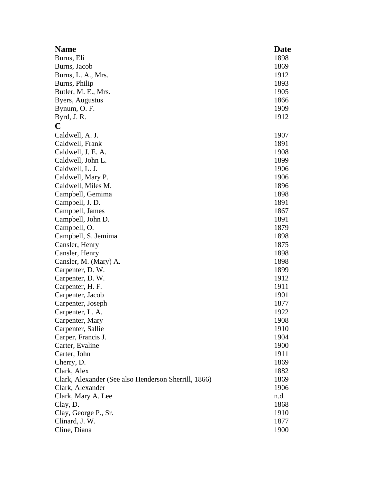| <b>Name</b>                                          | <b>Date</b> |
|------------------------------------------------------|-------------|
| Burns, Eli                                           | 1898        |
| Burns, Jacob                                         | 1869        |
| Burns, L. A., Mrs.                                   | 1912        |
| Burns, Philip                                        | 1893        |
| Butler, M. E., Mrs.                                  | 1905        |
| Byers, Augustus                                      | 1866        |
| Bynum, O. F.                                         | 1909        |
| Byrd, J. R.                                          | 1912        |
| C                                                    |             |
| Caldwell, A. J.                                      | 1907        |
| Caldwell, Frank                                      | 1891        |
| Caldwell, J. E. A.                                   | 1908        |
| Caldwell, John L.                                    | 1899        |
| Caldwell, L. J.                                      | 1906        |
| Caldwell, Mary P.                                    | 1906        |
| Caldwell, Miles M.                                   | 1896        |
| Campbell, Gemima                                     | 1898        |
| Campbell, J.D.                                       | 1891        |
|                                                      | 1867        |
| Campbell, James                                      | 1891        |
| Campbell, John D.                                    | 1879        |
| Campbell, O.                                         |             |
| Campbell, S. Jemima                                  | 1898        |
| Cansler, Henry                                       | 1875        |
| Cansler, Henry                                       | 1898        |
| Cansler, M. (Mary) A.                                | 1898        |
| Carpenter, D. W.                                     | 1899        |
| Carpenter, D. W.                                     | 1912        |
| Carpenter, H. F.                                     | 1911        |
| Carpenter, Jacob                                     | 1901        |
| Carpenter, Joseph                                    | 1877        |
| Carpenter, L. A.                                     | 1922        |
| Carpenter, Mary                                      | 1908        |
| Carpenter, Sallie                                    | 1910        |
| Carper, Francis J.                                   | 1904        |
| Carter, Evaline                                      | 1900        |
| Carter, John                                         | 1911        |
| Cherry, D.                                           | 1869        |
| Clark, Alex                                          | 1882        |
| Clark, Alexander (See also Henderson Sherrill, 1866) | 1869        |
| Clark, Alexander                                     | 1906        |
| Clark, Mary A. Lee                                   | n.d.        |
| Clay, D.                                             | 1868        |
| Clay, George P., Sr.                                 | 1910        |
| Clinard, J. W.                                       | 1877        |
| Cline, Diana                                         | 1900        |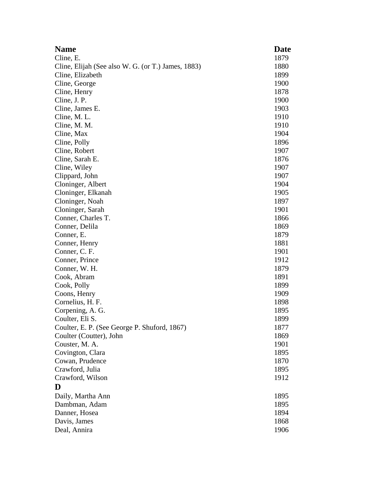| <b>Name</b>                                        | Date |
|----------------------------------------------------|------|
| Cline, E.                                          | 1879 |
| Cline, Elijah (See also W. G. (or T.) James, 1883) | 1880 |
| Cline, Elizabeth                                   | 1899 |
| Cline, George                                      | 1900 |
| Cline, Henry                                       | 1878 |
| Cline, J. P.                                       | 1900 |
| Cline, James E.                                    | 1903 |
| Cline, M. L.                                       | 1910 |
| Cline, M. M.                                       | 1910 |
| Cline, Max                                         | 1904 |
| Cline, Polly                                       | 1896 |
| Cline, Robert                                      | 1907 |
| Cline, Sarah E.                                    | 1876 |
| Cline, Wiley                                       | 1907 |
| Clippard, John                                     | 1907 |
| Cloninger, Albert                                  | 1904 |
| Cloninger, Elkanah                                 | 1905 |
| Cloninger, Noah                                    | 1897 |
| Cloninger, Sarah                                   | 1901 |
| Conner, Charles T.                                 | 1866 |
| Conner, Delila                                     | 1869 |
| Conner, E.                                         | 1879 |
| Conner, Henry                                      | 1881 |
| Conner, C. F.                                      | 1901 |
| Conner, Prince                                     | 1912 |
| Conner, W. H.                                      | 1879 |
| Cook, Abram                                        | 1891 |
| Cook, Polly                                        | 1899 |
| Coons, Henry                                       | 1909 |
| Cornelius, H. F.                                   | 1898 |
| Corpening, A. G.                                   | 1895 |
| Coulter, Eli S.                                    | 1899 |
| Coulter, E. P. (See George P. Shuford, 1867)       | 1877 |
| Coulter (Coutter), John                            | 1869 |
| Couster, M. A.                                     | 1901 |
| Covington, Clara                                   | 1895 |
| Cowan, Prudence                                    | 1870 |
| Crawford, Julia                                    | 1895 |
| Crawford, Wilson                                   | 1912 |
| D                                                  |      |
| Daily, Martha Ann                                  | 1895 |
| Dambman, Adam                                      | 1895 |
| Danner, Hosea                                      | 1894 |
| Davis, James                                       | 1868 |
| Deal, Annira                                       | 1906 |
|                                                    |      |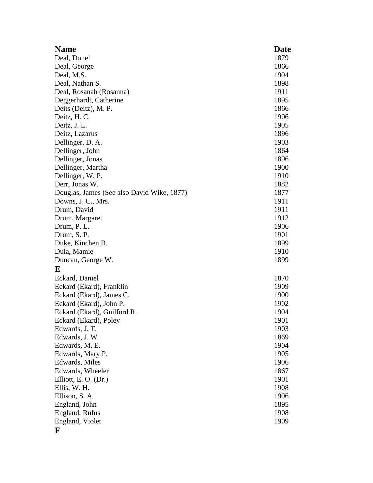| <b>Name</b>                                | <b>Date</b> |
|--------------------------------------------|-------------|
| Deal, Donel                                | 1879        |
| Deal, George                               | 1866        |
| Deal, M.S.                                 | 1904        |
| Deal, Nathan S.                            | 1898        |
| Deal, Rosanah (Rosanna)                    | 1911        |
| Deggerhardt, Catherine                     | 1895        |
| Deits (Deitz), M. P.                       | 1866        |
| Deitz, H. C.                               | 1906        |
| Deitz, J. L.                               | 1905        |
| Deitz, Lazarus                             | 1896        |
| Dellinger, D. A.                           | 1903        |
| Dellinger, John                            | 1864        |
| Dellinger, Jonas                           | 1896        |
| Dellinger, Martha                          | 1900        |
| Dellinger, W. P.                           | 1910        |
| Derr, Jonas W.                             | 1882        |
| Douglas, James (See also David Wike, 1877) | 1877        |
| Downs, J. C., Mrs.                         | 1911        |
| Drum, David                                | 1911        |
| Drum, Margaret                             | 1912        |
| Drum, P. L.                                | 1906        |
| Drum, S. P.                                | 1901        |
| Duke, Kinchen B.                           | 1899        |
| Dula, Mamie                                | 1910        |
| Duncan, George W.                          | 1899        |
| E                                          |             |
| Eckard, Daniel                             | 1870        |
| Eckard (Ekard), Franklin                   | 1909        |
| Eckard (Ekard), James C.                   | 1900        |
| Eckard (Ekard), John P.                    | 1902        |
| Eckard (Ekard), Guilford R.                | 1904        |
| Eckard (Ekard), Poley                      | 1901        |
| Edwards, J. T.                             | 1903        |
| Edwards, J. W                              | 1869        |
| Edwards, M. E.                             | 1904        |
| Edwards, Mary P.                           | 1905        |
| Edwards, Miles                             | 1906        |
| Edwards, Wheeler                           | 1867        |
| Elliott, E. O. (Dr.)                       | 1901        |
| Ellis, W. H.                               | 1908        |
| Ellison, S. A.                             | 1906        |
| England, John                              | 1895        |
| England, Rufus                             | 1908        |
| England, Violet                            | 1909        |
| F                                          |             |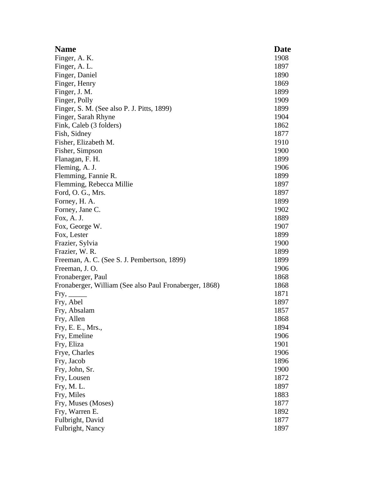| <b>Name</b>                                            | <b>Date</b> |
|--------------------------------------------------------|-------------|
| Finger, A. K.                                          | 1908        |
| Finger, A. L.                                          | 1897        |
| Finger, Daniel                                         | 1890        |
| Finger, Henry                                          | 1869        |
| Finger, J. M.                                          | 1899        |
| Finger, Polly                                          | 1909        |
| Finger, S. M. (See also P. J. Pitts, 1899)             | 1899        |
| Finger, Sarah Rhyne                                    | 1904        |
| Fink, Caleb (3 folders)                                | 1862        |
| Fish, Sidney                                           | 1877        |
| Fisher, Elizabeth M.                                   | 1910        |
| Fisher, Simpson                                        | 1900        |
| Flanagan, F. H.                                        | 1899        |
| Fleming, A. J.                                         | 1906        |
| Flemming, Fannie R.                                    | 1899        |
| Flemming, Rebecca Millie                               | 1897        |
| Ford, O. G., Mrs.                                      | 1897        |
| Forney, H. A.                                          | 1899        |
| Forney, Jane C.                                        | 1902        |
| Fox, A. J.                                             | 1889        |
| Fox, George W.                                         | 1907        |
| Fox, Lester                                            | 1899        |
| Frazier, Sylvia                                        | 1900        |
| Frazier, W. R.                                         | 1899        |
| Freeman, A. C. (See S. J. Pembertson, 1899)            | 1899        |
| Freeman, J.O.                                          | 1906        |
| Fronaberger, Paul                                      | 1868        |
| Fronaberger, William (See also Paul Fronaberger, 1868) | 1868        |
| Fry,                                                   | 1871        |
| Fry, Abel                                              | 1897        |
| Fry, Absalam                                           | 1857        |
| Fry, Allen                                             | 1868        |
| Fry, E. E., Mrs.,                                      | 1894        |
| Fry, Emeline                                           | 1906        |
| Fry, Eliza                                             | 1901        |
| Frye, Charles                                          | 1906        |
| Fry, Jacob                                             | 1896        |
| Fry, John, Sr.                                         | 1900        |
| Fry, Lousen                                            | 1872        |
| Fry, M.L.                                              | 1897        |
| Fry, Miles                                             | 1883        |
| Fry, Muses (Moses)                                     | 1877        |
| Fry, Warren E.                                         | 1892        |
| Fulbright, David                                       | 1877        |
| Fulbright, Nancy                                       | 1897        |
|                                                        |             |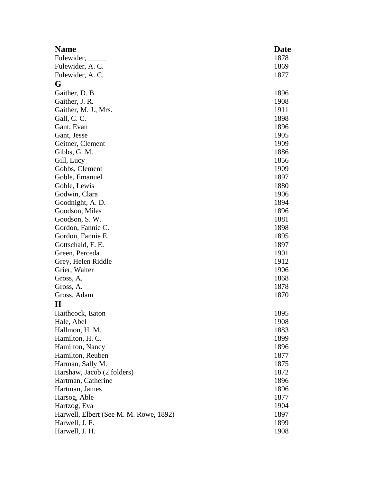| <b>Name</b>                            | Date |
|----------------------------------------|------|
| Fulewider,                             | 1878 |
| Fulewider, A.C.                        | 1869 |
| Fulewider, A.C.                        | 1877 |
| G                                      |      |
| Gaither, D. B.                         | 1896 |
| Gaither, J. R.                         | 1908 |
| Gaither, M. J., Mrs.                   | 1911 |
| Gall, C. C.                            | 1898 |
| Gant, Evan                             | 1896 |
| Gant, Jesse                            | 1905 |
| Geitner, Clement                       | 1909 |
| Gibbs, G. M.                           | 1886 |
| Gill, Lucy                             | 1856 |
| Gobbs, Clement                         | 1909 |
| Goble, Emanuel                         | 1897 |
| Goble, Lewis                           | 1880 |
| Godwin, Clara                          | 1906 |
| Goodnight, A. D.                       | 1894 |
| Goodson, Miles                         | 1896 |
| Goodson, S. W.                         | 1881 |
| Gordon, Fannie C.                      | 1898 |
| Gordon, Fannie E.                      | 1895 |
| Gottschald, F. E.                      | 1897 |
| Green, Perceda                         | 1901 |
| Grey, Helen Riddle                     | 1912 |
| Grier, Walter                          | 1906 |
| Gross, A.                              | 1868 |
| Gross, A.                              | 1878 |
| Gross, Adam                            | 1870 |
| $\bf H$                                |      |
| Haithcock, Eaton                       | 1895 |
| Hale, Abel                             | 1908 |
| Hallmon, H. M.                         | 1883 |
| Hamilton, H. C.                        | 1899 |
| Hamilton, Nancy                        | 1896 |
| Hamilton, Reuben                       | 1877 |
| Harman, Sally M.                       | 1875 |
| Harshaw, Jacob (2 folders)             | 1872 |
| Hartman, Catherine                     | 1896 |
| Hartman, James                         | 1896 |
| Harsog, Able                           | 1877 |
| Hartzog, Eva                           | 1904 |
| Harwell, Elbert (See M. M. Rowe, 1892) | 1897 |
| Harwell, J. F.                         | 1899 |
| Harwell, J. H.                         | 1908 |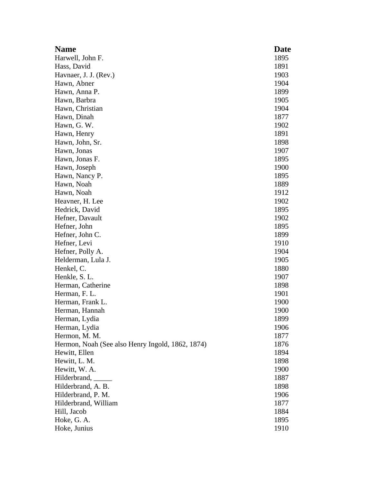| <b>Name</b>                                      | Date |
|--------------------------------------------------|------|
| Harwell, John F.                                 | 1895 |
| Hass, David                                      | 1891 |
| Havnaer, J. J. (Rev.)                            | 1903 |
| Hawn, Abner                                      | 1904 |
| Hawn, Anna P.                                    | 1899 |
| Hawn, Barbra                                     | 1905 |
| Hawn, Christian                                  | 1904 |
| Hawn, Dinah                                      | 1877 |
| Hawn, G. W.                                      | 1902 |
| Hawn, Henry                                      | 1891 |
| Hawn, John, Sr.                                  | 1898 |
| Hawn, Jonas                                      | 1907 |
| Hawn, Jonas F.                                   | 1895 |
| Hawn, Joseph                                     | 1900 |
| Hawn, Nancy P.                                   | 1895 |
| Hawn, Noah                                       | 1889 |
| Hawn, Noah                                       | 1912 |
| Heavner, H. Lee                                  | 1902 |
| Hedrick, David                                   | 1895 |
| Hefner, Davault                                  | 1902 |
| Hefner, John                                     | 1895 |
| Hefner, John C.                                  | 1899 |
| Hefner, Levi                                     | 1910 |
| Hefner, Polly A.                                 | 1904 |
| Helderman, Lula J.                               | 1905 |
| Henkel, C.                                       | 1880 |
| Henkle, S. L.                                    | 1907 |
| Herman, Catherine                                | 1898 |
| Herman, F. L.                                    | 1901 |
| Herman, Frank L.                                 | 1900 |
| Herman, Hannah                                   | 1900 |
| Herman, Lydia                                    | 1899 |
| Herman, Lydia                                    | 1906 |
| Hermon, M. M.                                    | 1877 |
| Hermon, Noah (See also Henry Ingold, 1862, 1874) | 1876 |
| Hewitt, Ellen                                    | 1894 |
| Hewitt, L. M.                                    | 1898 |
| Hewitt, W. A.                                    | 1900 |
| Hilderbrand,                                     | 1887 |
| Hilderbrand, A. B.                               | 1898 |
| Hilderbrand, P. M.                               | 1906 |
| Hilderbrand, William                             | 1877 |
| Hill, Jacob                                      | 1884 |
| Hoke, G. A.                                      | 1895 |
| Hoke, Junius                                     | 1910 |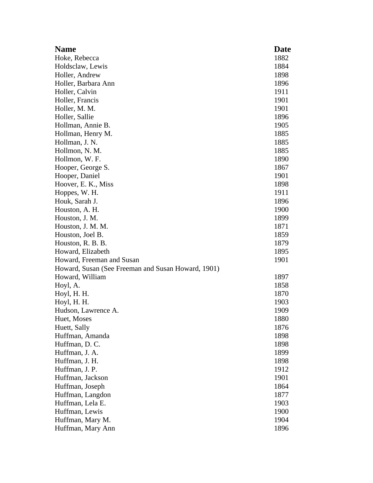| <b>Name</b>                                        | Date |
|----------------------------------------------------|------|
| Hoke, Rebecca                                      | 1882 |
| Holdsclaw, Lewis                                   | 1884 |
| Holler, Andrew                                     | 1898 |
| Holler, Barbara Ann                                | 1896 |
| Holler, Calvin                                     | 1911 |
| Holler, Francis                                    | 1901 |
| Holler, M. M.                                      | 1901 |
| Holler, Sallie                                     | 1896 |
| Hollman, Annie B.                                  | 1905 |
| Hollman, Henry M.                                  | 1885 |
| Hollman, J. N.                                     | 1885 |
| Hollmon, N. M.                                     | 1885 |
| Hollmon, W. F.                                     | 1890 |
| Hooper, George S.                                  | 1867 |
| Hooper, Daniel                                     | 1901 |
| Hoover, E. K., Miss                                | 1898 |
| Hoppes, W. H.                                      | 1911 |
| Houk, Sarah J.                                     | 1896 |
| Houston, A. H.                                     | 1900 |
| Houston, J. M.                                     | 1899 |
| Houston, J. M. M.                                  | 1871 |
| Houston, Joel B.                                   | 1859 |
| Houston, R. B. B.                                  | 1879 |
| Howard, Elizabeth                                  | 1895 |
| Howard, Freeman and Susan                          | 1901 |
| Howard, Susan (See Freeman and Susan Howard, 1901) |      |
| Howard, William                                    | 1897 |
| Hoyl, A.                                           | 1858 |
| Hoyl, H. H.                                        | 1870 |
| Hoyl, H. H.                                        | 1903 |
| Hudson, Lawrence A.                                | 1909 |
| Huet, Moses                                        | 1880 |
| Huett, Sally                                       | 1876 |
| Huffman, Amanda                                    | 1898 |
| Huffman, D.C.                                      | 1898 |
| Huffman, J. A.                                     | 1899 |
| Huffman, J. H.                                     | 1898 |
| Huffman, J. P.                                     | 1912 |
| Huffman, Jackson                                   | 1901 |
| Huffman, Joseph                                    | 1864 |
| Huffman, Langdon                                   | 1877 |
| Huffman, Lela E.                                   | 1903 |
| Huffman, Lewis                                     | 1900 |
| Huffman, Mary M.                                   | 1904 |
| Huffman, Mary Ann                                  | 1896 |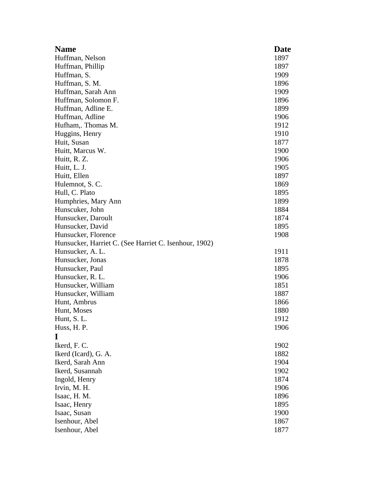| <b>Name</b>                                           | <b>Date</b>  |
|-------------------------------------------------------|--------------|
| Huffman, Nelson                                       | 1897         |
| Huffman, Phillip                                      | 1897         |
| Huffman, S.                                           | 1909         |
| Huffman, S. M.                                        | 1896         |
| Huffman, Sarah Ann                                    | 1909         |
| Huffman, Solomon F.                                   | 1896         |
| Huffman, Adline E.                                    | 1899         |
| Huffman, Adline                                       | 1906         |
| Hufham, Thomas M.                                     | 1912         |
| Huggins, Henry                                        | 1910         |
| Huit, Susan                                           | 1877         |
| Huitt, Marcus W.                                      | 1900         |
| Huitt, R. Z.                                          | 1906         |
| Huitt, L. J.                                          | 1905         |
| Huitt, Ellen                                          | 1897         |
| Hulemnot, S.C.                                        | 1869         |
| Hull, C. Plato                                        | 1895         |
| Humphries, Mary Ann                                   | 1899         |
| Hunscuker, John                                       | 1884         |
| Hunsucker, Daroult                                    | 1874         |
| Hunsucker, David                                      | 1895         |
| Hunsucker, Florence                                   | 1908         |
| Hunsucker, Harriet C. (See Harriet C. Isenhour, 1902) |              |
| Hunsucker, A. L.                                      | 1911         |
| Hunsucker, Jonas                                      | 1878         |
| Hunsucker, Paul                                       | 1895         |
| Hunsucker, R. L.                                      | 1906         |
| Hunsucker, William                                    | 1851         |
| Hunsucker, William                                    | 1887         |
| Hunt, Ambrus                                          | 1866         |
| Hunt, Moses                                           | 1880         |
| Hunt, S. L.                                           | 1912         |
| Huss, H. P.                                           | 1906         |
| I                                                     |              |
| Ikerd, F. C.                                          | 1902         |
| Ikerd (Icard), G. A.                                  | 1882         |
| Ikerd, Sarah Ann                                      | 1904         |
| Ikerd, Susannah                                       | 1902         |
| Ingold, Henry                                         | 1874         |
| Irvin, M. H.                                          | 1906         |
| Isaac, H. M.<br>Isaac, Henry                          | 1896<br>1895 |
| Isaac, Susan                                          | 1900         |
| Isenhour, Abel                                        | 1867         |
| Isenhour, Abel                                        | 1877         |
|                                                       |              |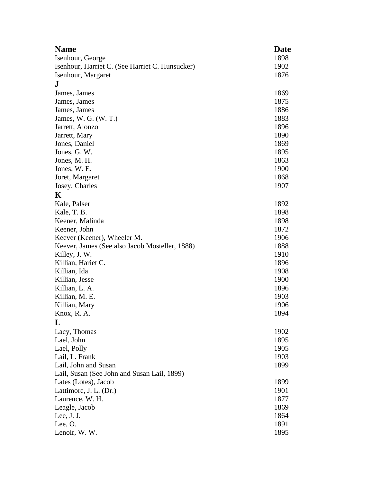| <b>Name</b>                                             | <b>Date</b> |
|---------------------------------------------------------|-------------|
| 1898<br>Isenhour, George                                |             |
| Isenhour, Harriet C. (See Harriet C. Hunsucker)<br>1902 |             |
| Isenhour, Margaret<br>1876                              |             |
| ${\bf J}$                                               |             |
| James, James<br>1869                                    |             |
| James, James<br>1875                                    |             |
| James, James<br>1886                                    |             |
| 1883<br>James, W. G. (W. T.)                            |             |
| Jarrett, Alonzo<br>1896                                 |             |
| Jarrett, Mary<br>1890                                   |             |
| Jones, Daniel<br>1869                                   |             |
| Jones, G. W.<br>1895                                    |             |
| Jones, M. H.<br>1863                                    |             |
| 1900<br>Jones, W. E.                                    |             |
| 1868<br>Joret, Margaret                                 |             |
| Josey, Charles<br>1907                                  |             |
| $\mathbf K$                                             |             |
| Kale, Palser<br>1892                                    |             |
| Kale, T. B.<br>1898                                     |             |
| Keener, Malinda<br>1898                                 |             |
| Keener, John<br>1872                                    |             |
| Keever (Keener), Wheeler M.<br>1906                     |             |
| Keever, James (See also Jacob Mosteller, 1888)<br>1888  |             |
| Killey, J. W.<br>1910                                   |             |
| Killian, Hariet C.<br>1896                              |             |
| Killian, Ida<br>1908                                    |             |
| Killian, Jesse<br>1900                                  |             |
| Killian, L. A.<br>1896                                  |             |
| Killian, M. E.<br>1903                                  |             |
| Killian, Mary<br>1906                                   |             |
| Knox, R. A.<br>1894                                     |             |
| L                                                       |             |
| Lacy, Thomas<br>1902                                    |             |
| Lael, John<br>1895                                      |             |
| Lael, Polly<br>1905                                     |             |
| Lail, L. Frank<br>1903                                  |             |
| Lail, John and Susan<br>1899                            |             |
| Lail, Susan (See John and Susan Lail, 1899)             |             |
| Lates (Lotes), Jacob<br>1899                            |             |
| Lattimore, J. L. (Dr.)<br>1901                          |             |
| Laurence, W. H.<br>1877                                 |             |
| Leagle, Jacob<br>1869                                   |             |
| Lee, $J. J.$<br>1864                                    |             |
| Lee, $O$ .<br>1891                                      |             |
| Lenoir, W. W.<br>1895                                   |             |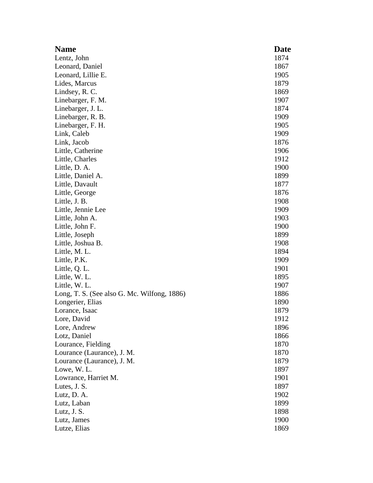| <b>Name</b>                                 | <b>Date</b> |
|---------------------------------------------|-------------|
| Lentz, John                                 | 1874        |
| Leonard, Daniel                             | 1867        |
| Leonard, Lillie E.                          | 1905        |
| Lides, Marcus                               | 1879        |
| Lindsey, R. C.                              | 1869        |
| Linebarger, F. M.                           | 1907        |
| Linebarger, J. L.                           | 1874        |
| Linebarger, R. B.                           | 1909        |
| Linebarger, F. H.                           | 1905        |
| Link, Caleb                                 | 1909        |
| Link, Jacob                                 | 1876        |
| Little, Catherine                           | 1906        |
| Little, Charles                             | 1912        |
| Little, D. A.                               | 1900        |
| Little, Daniel A.                           | 1899        |
| Little, Davault                             | 1877        |
| Little, George                              | 1876        |
| Little, J. B.                               | 1908        |
| Little, Jennie Lee                          | 1909        |
| Little, John A.                             | 1903        |
| Little, John F.                             | 1900        |
| Little, Joseph                              | 1899        |
| Little, Joshua B.                           | 1908        |
| Little, M. L.                               | 1894        |
| Little, P.K.                                | 1909        |
| Little, Q. L.                               | 1901        |
| Little, W. L.                               | 1895        |
| Little, W. L.                               | 1907        |
| Long, T. S. (See also G. Mc. Wilfong, 1886) | 1886        |
| Longerier, Elias                            | 1890        |
| Lorance, Isaac                              | 1879        |
| Lore, David                                 | 1912        |
| Lore, Andrew                                | 1896        |
| Lotz, Daniel                                | 1866        |
| Lourance, Fielding                          | 1870        |
| Lourance (Laurance), J. M.                  | 1870        |
| Lourance (Laurance), J. M.                  | 1879        |
| Lowe, W. L.                                 | 1897        |
| Lowrance, Harriet M.                        | 1901        |
| Lutes, J. S.                                | 1897        |
| Lutz, D. A.                                 | 1902        |
| Lutz, Laban                                 | 1899        |
| Lutz, J. S.                                 | 1898        |
| Lutz, James                                 | 1900        |
| Lutze, Elias                                | 1869        |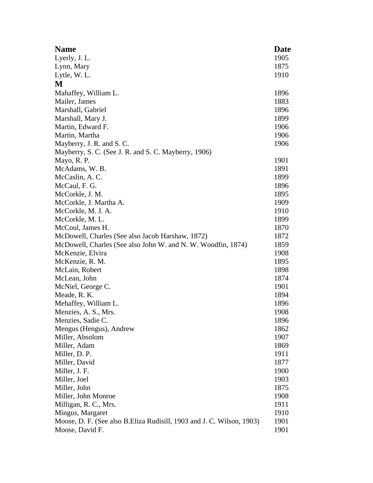| <b>Name</b>                                                            | <b>Date</b> |
|------------------------------------------------------------------------|-------------|
| Lyerly, J. L.                                                          | 1905        |
| Lynn, Mary                                                             | 1875        |
| Lytle, W.L.                                                            | 1910        |
| M                                                                      |             |
| Mahaffey, William L.                                                   | 1896        |
| Mailer, James                                                          | 1883        |
| Marshall, Gabriel                                                      | 1896        |
| Marshall, Mary J.                                                      | 1899        |
| Martin, Edward F.                                                      | 1906        |
| Martin, Martha                                                         | 1906        |
| Mayberry, J. R. and S. C.                                              | 1906        |
| Mayberry, S. C. (See J. R. and S. C. Mayberry, 1906)                   |             |
| Mayo, R. P.                                                            | 1901        |
| McAdams, W. B.                                                         | 1891        |
| McCaslin, A.C.                                                         | 1899        |
| McCaul, F. G.                                                          | 1896        |
| McCorkle, J. M.                                                        | 1895        |
| McCorkle, J. Martha A.                                                 | 1909        |
| McCorkle, M. J. A.                                                     | 1910        |
| McCorkle, M.L.                                                         | 1899        |
| McCoul, James H.                                                       | 1870        |
| McDowell, Charles (See also Jacob Harshaw, 1872)                       | 1872        |
| McDowell, Charles (See also John W. and N. W. Woodfin, 1874)           | 1859        |
| McKenzie, Elvira                                                       | 1908        |
| McKenzie, R. M.                                                        | 1895        |
| McLain, Robert                                                         | 1898        |
| McLean, John                                                           | 1874        |
| McNiel, George C.                                                      | 1901        |
| Meade, R. K.                                                           | 1894        |
| Mehaffey, William L.                                                   | 1896        |
| Menzies, A. S., Mrs.                                                   | 1908        |
| Menzies, Sadie C.                                                      | 1896        |
| Mengus (Hengus), Andrew                                                | 1862        |
| Miller, Absolom                                                        | 1907        |
| Miller, Adam                                                           | 1869        |
| Miller, D. P.                                                          | 1911        |
| Miller, David                                                          | 1877        |
| Miller, J. F.                                                          | 1900        |
| Miller, Joel                                                           | 1903        |
| Miller, John                                                           | 1875        |
| Miller, John Monroe                                                    | 1908        |
| Milligan, R. C., Mrs.                                                  | 1911        |
| Mingus, Margaret                                                       | 1910        |
| Moose, D. F. (See also B. Eliza Rudisill, 1903 and J. C. Wilson, 1903) | 1901        |
| Moose, David F.                                                        | 1901        |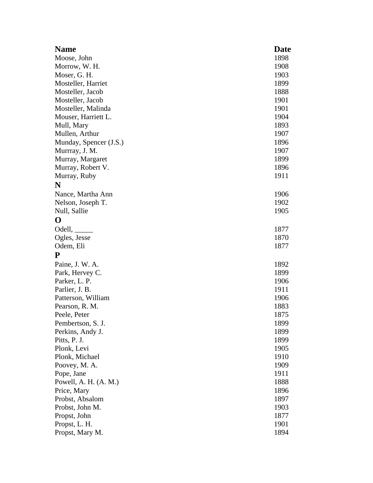| <b>Name</b>             | Date |
|-------------------------|------|
| Moose, John             | 1898 |
| Morrow, W. H.           | 1908 |
| Moser, G. H.            | 1903 |
| Mosteller, Harriet      | 1899 |
| Mosteller, Jacob        | 1888 |
| Mosteller, Jacob        | 1901 |
| Mosteller, Malinda      | 1901 |
| Mouser, Harriett L.     | 1904 |
| Mull, Mary              | 1893 |
| Mullen, Arthur          | 1907 |
| Munday, Spencer (J.S.)  | 1896 |
| Murrray, J. M.          | 1907 |
| Murray, Margaret        | 1899 |
| Murray, Robert V.       | 1896 |
| Murray, Ruby            | 1911 |
| N                       |      |
| Nance, Martha Ann       | 1906 |
| Nelson, Joseph T.       | 1902 |
| Null, Sallie            | 1905 |
| $\bf{O}$                |      |
| Odell,                  | 1877 |
| Ogles, Jesse            | 1870 |
| Odem, Eli               | 1877 |
| ${\bf P}$               |      |
| Paine, J. W. A.         | 1892 |
| Park, Hervey C.         | 1899 |
| Parker, L. P.           | 1906 |
| Parlier, J. B.          | 1911 |
| Patterson, William      | 1906 |
| Pearson, R. M.          | 1883 |
| Peele, Peter            | 1875 |
| Pembertson, S. J.       | 1899 |
| Perkins, Andy J.        | 1899 |
| Pitts, P. J.            | 1899 |
| Plonk, Levi             | 1905 |
| Plonk, Michael          | 1910 |
| Poovey, M. A.           | 1909 |
| Pope, Jane              | 1911 |
| Powell, A. H. $(A. M.)$ | 1888 |
| Price, Mary             | 1896 |
| Probst, Absalom         | 1897 |
| Probst, John M.         | 1903 |
| Propst, John            | 1877 |
| Propst, L. H.           | 1901 |
| Propst, Mary M.         | 1894 |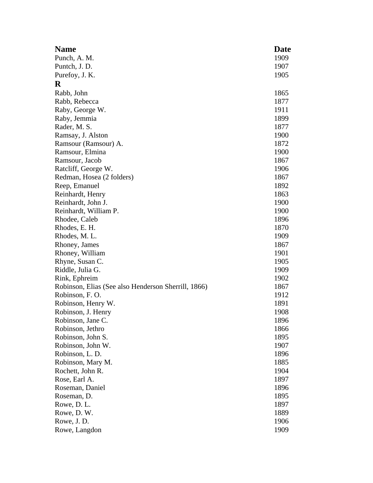| <b>Name</b>                                         | <b>Date</b> |
|-----------------------------------------------------|-------------|
| Punch, A. M.                                        | 1909        |
| Puntch, J. D.                                       | 1907        |
| Purefoy, J. K.                                      | 1905        |
| $\bf R$                                             |             |
| Rabb, John                                          | 1865        |
| Rabb, Rebecca                                       | 1877        |
| Raby, George W.                                     | 1911        |
| Raby, Jemmia                                        | 1899        |
| Rader, M. S.                                        | 1877        |
| Ramsay, J. Alston                                   | 1900        |
| Ramsour (Ramsour) A.                                | 1872        |
| Ramsour, Elmina                                     | 1900        |
| Ramsour, Jacob                                      | 1867        |
| Ratcliff, George W.                                 | 1906        |
| Redman, Hosea (2 folders)                           | 1867        |
| Reep, Emanuel                                       | 1892        |
| Reinhardt, Henry                                    | 1863        |
| Reinhardt, John J.                                  | 1900        |
| Reinhardt, William P.                               | 1900        |
| Rhodee, Caleb                                       | 1896        |
| Rhodes, E. H.                                       | 1870        |
| Rhodes, M. L.                                       | 1909        |
| Rhoney, James                                       | 1867        |
| Rhoney, William                                     | 1901        |
| Rhyne, Susan C.                                     | 1905        |
| Riddle, Julia G.                                    | 1909        |
| Rink, Ephreim                                       | 1902        |
| Robinson, Elias (See also Henderson Sherrill, 1866) | 1867        |
| Robinson, F.O.                                      | 1912        |
| Robinson, Henry W.                                  | 1891        |
| Robinson, J. Henry                                  | 1908        |
| Robinson, Jane C.                                   | 1896        |
| Robinson, Jethro                                    | 1866        |
| Robinson, John S.                                   | 1895        |
| Robinson, John W.                                   | 1907        |
| Robinson, L. D.                                     | 1896        |
| Robinson, Mary M.                                   | 1885        |
| Rochett, John R.                                    | 1904        |
| Rose, Earl A.                                       | 1897        |
| Roseman, Daniel                                     | 1896        |
| Roseman, D.                                         | 1895        |
| Rowe, D. L.                                         | 1897        |
| Rowe, D.W.                                          | 1889        |
| Rowe, J.D.                                          | 1906        |
| Rowe, Langdon                                       | 1909        |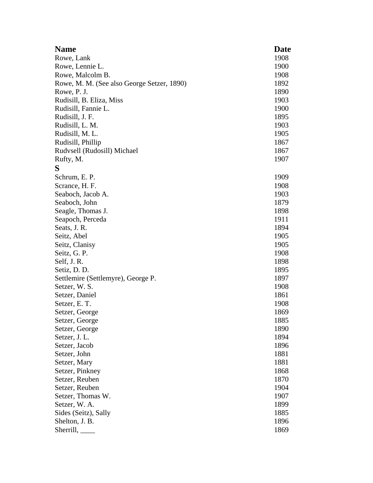| <b>Name</b>                                | <b>Date</b> |
|--------------------------------------------|-------------|
| Rowe, Lank                                 | 1908        |
| Rowe, Lennie L.                            | 1900        |
| Rowe, Malcolm B.                           | 1908        |
| Rowe, M. M. (See also George Setzer, 1890) | 1892        |
| Rowe, P. J.                                | 1890        |
| Rudisill, B. Eliza, Miss                   | 1903        |
| Rudisill, Fannie L.                        | 1900        |
| Rudisill, J. F.                            | 1895        |
| Rudisill, L. M.                            | 1903        |
| Rudisill, M. L.                            | 1905        |
| Rudisill, Phillip                          | 1867        |
| Rudvsell (Rudosill) Michael                | 1867        |
| Rufty, M.                                  | 1907        |
| S                                          |             |
| Schrum, E. P.                              | 1909        |
| Scrance, H. F.                             | 1908        |
| Seaboch, Jacob A.                          | 1903        |
| Seaboch, John                              | 1879        |
| Seagle, Thomas J.                          | 1898        |
| Seapoch, Perceda                           | 1911        |
| Seats, J. R.                               | 1894        |
| Seitz, Abel                                | 1905        |
| Seitz, Clanisy                             | 1905        |
| Seitz, G. P.                               | 1908        |
| Self, J.R.                                 | 1898        |
| Setiz, D. D.                               | 1895        |
| Settlemire (Settlemyre), George P.         | 1897        |
| Setzer, W. S.                              | 1908        |
| Setzer, Daniel                             | 1861        |
| Setzer, E.T.                               | 1908        |
| Setzer, George                             | 1869        |
| Setzer, George                             | 1885        |
| Setzer, George                             | 1890        |
| Setzer, J. L.                              | 1894        |
| Setzer, Jacob                              | 1896        |
| Setzer, John                               | 1881        |
| Setzer, Mary                               | 1881        |
| Setzer, Pinkney                            | 1868        |
| Setzer, Reuben                             | 1870        |
| Setzer, Reuben                             | 1904        |
| Setzer, Thomas W.                          | 1907        |
| Setzer, W. A.                              | 1899        |
| Sides (Seitz), Sally                       | 1885        |
| Shelton, J. B.                             | 1896        |
| Sherrill,                                  | 1869        |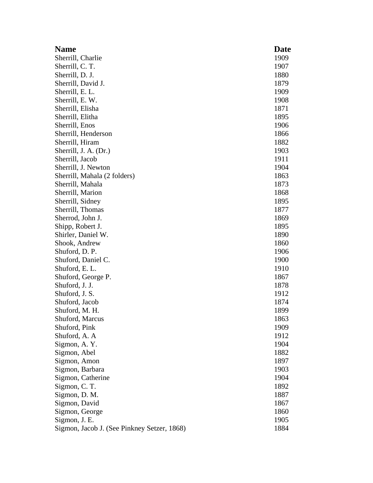| <b>Name</b>                                 | Date |
|---------------------------------------------|------|
| Sherrill, Charlie                           | 1909 |
| Sherrill, C. T.                             | 1907 |
| Sherrill, D. J.                             | 1880 |
| Sherrill, David J.                          | 1879 |
| Sherrill, E. L.                             | 1909 |
| Sherrill, E. W.                             | 1908 |
| Sherrill, Elisha                            | 1871 |
| Sherrill, Elitha                            | 1895 |
| Sherrill, Enos                              | 1906 |
| Sherrill, Henderson                         | 1866 |
| Sherrill, Hiram                             | 1882 |
| Sherrill, J. A. (Dr.)                       | 1903 |
| Sherrill, Jacob                             | 1911 |
| Sherrill, J. Newton                         | 1904 |
| Sherrill, Mahala (2 folders)                | 1863 |
| Sherrill, Mahala                            | 1873 |
| Sherrill, Marion                            | 1868 |
| Sherrill, Sidney                            | 1895 |
| Sherrill, Thomas                            | 1877 |
| Sherrod, John J.                            | 1869 |
| Shipp, Robert J.                            | 1895 |
| Shirler, Daniel W.                          | 1890 |
| Shook, Andrew                               | 1860 |
| Shuford, D. P.                              | 1906 |
| Shuford, Daniel C.                          | 1900 |
| Shuford, E.L.                               | 1910 |
| Shuford, George P.                          | 1867 |
| Shuford, J. J.                              | 1878 |
| Shuford, J. S.                              | 1912 |
| Shuford, Jacob                              | 1874 |
| Shuford, M. H.                              | 1899 |
| Shuford, Marcus                             | 1863 |
| Shuford, Pink                               | 1909 |
| Shuford, A. A                               | 1912 |
| Sigmon, A. Y.                               | 1904 |
| Sigmon, Abel                                | 1882 |
| Sigmon, Amon                                | 1897 |
| Sigmon, Barbara                             | 1903 |
| Sigmon, Catherine                           | 1904 |
| Sigmon, C. T.                               | 1892 |
| Sigmon, D. M.                               | 1887 |
| Sigmon, David                               | 1867 |
| Sigmon, George                              | 1860 |
| Sigmon, J. E.                               | 1905 |
| Sigmon, Jacob J. (See Pinkney Setzer, 1868) | 1884 |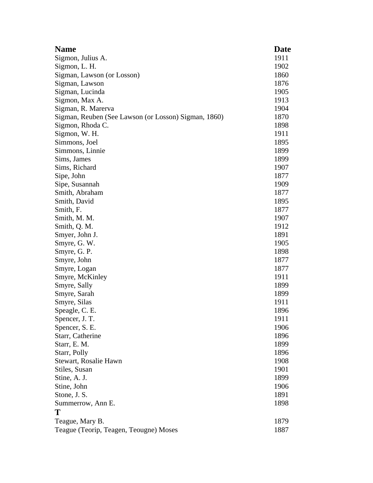| <b>Name</b>                                          | <b>Date</b> |
|------------------------------------------------------|-------------|
| Sigmon, Julius A.                                    | 1911        |
| Sigmon, L. H.                                        | 1902        |
| Sigman, Lawson (or Losson)                           | 1860        |
| Sigman, Lawson                                       | 1876        |
| Sigman, Lucinda                                      | 1905        |
| Sigmon, Max A.                                       | 1913        |
| Sigman, R. Marerva                                   | 1904        |
| Sigman, Reuben (See Lawson (or Losson) Sigman, 1860) | 1870        |
| Sigmon, Rhoda C.                                     | 1898        |
| Sigmon, W. H.                                        | 1911        |
| Simmons, Joel                                        | 1895        |
| Simmons, Linnie                                      | 1899        |
| Sims, James                                          | 1899        |
| Sims, Richard                                        | 1907        |
| Sipe, John                                           | 1877        |
| Sipe, Susannah                                       | 1909        |
| Smith, Abraham                                       | 1877        |
| Smith, David                                         | 1895        |
| Smith, F.                                            | 1877        |
| Smith, M. M.                                         | 1907        |
| Smith, Q. M.                                         | 1912        |
| Smyer, John J.                                       | 1891        |
| Smyre, G. W.                                         | 1905        |
| Smyre, G. P.                                         | 1898        |
| Smyre, John                                          | 1877        |
| Smyre, Logan                                         | 1877        |
| Smyre, McKinley                                      | 1911        |
| Smyre, Sally                                         | 1899        |
| Smyre, Sarah                                         | 1899        |
| Smyre, Silas                                         | 1911        |
| Speagle, C. E.                                       | 1896        |
| Spencer, J. T.                                       | 1911        |
| Spencer, S. E.                                       | 1906        |
| Starr, Catherine                                     | 1896        |
| Starr, E. M.                                         | 1899        |
| Starr, Polly                                         | 1896        |
| Stewart, Rosalie Hawn                                | 1908        |
| Stiles, Susan                                        | 1901        |
| Stine, A. J.                                         | 1899        |
| Stine, John                                          | 1906        |
| Stone, J. S.                                         | 1891        |
| Summerrow, Ann E.                                    | 1898        |
| Т                                                    |             |
| Teague, Mary B.                                      | 1879        |
| Teague (Teorip, Teagen, Teougne) Moses               | 1887        |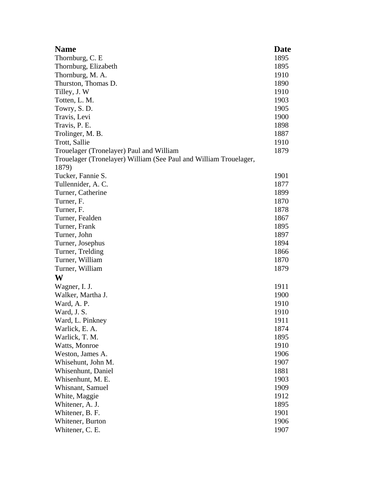| <b>Name</b>                                                       | Date |
|-------------------------------------------------------------------|------|
| Thornburg, C. E.                                                  | 1895 |
| Thornburg, Elizabeth                                              | 1895 |
| Thornburg, M. A.                                                  | 1910 |
| Thurston, Thomas D.                                               | 1890 |
| Tilley, J. W                                                      | 1910 |
| Totten, L. M.                                                     | 1903 |
| Towry, S.D.                                                       | 1905 |
| Travis, Levi                                                      | 1900 |
| Travis, P. E.                                                     | 1898 |
| Trolinger, M. B.                                                  | 1887 |
| Trott, Sallie                                                     | 1910 |
| Trouelager (Tronelayer) Paul and William                          | 1879 |
| Trouelager (Tronelayer) William (See Paul and William Trouelager, |      |
| 1879)                                                             |      |
| Tucker, Fannie S.                                                 | 1901 |
| Tullennider, A.C.                                                 | 1877 |
| Turner, Catherine                                                 | 1899 |
| Turner, F.                                                        | 1870 |
| Turner, F.                                                        | 1878 |
| Turner, Fealden                                                   | 1867 |
| Turner, Frank                                                     | 1895 |
| Turner, John                                                      | 1897 |
| Turner, Josephus                                                  | 1894 |
| Turner, Trelding                                                  | 1866 |
| Turner, William                                                   | 1870 |
| Turner, William                                                   | 1879 |
| W                                                                 |      |
| Wagner, I. J.                                                     | 1911 |
| Walker, Martha J.                                                 | 1900 |
| Ward, A. P.                                                       | 1910 |
| Ward, J. S.                                                       | 1910 |
| Ward, L. Pinkney                                                  | 1911 |
| Warlick, E. A.                                                    | 1874 |
| Warlick, T. M.                                                    | 1895 |
| Watts, Monroe                                                     | 1910 |
| Weston, James A.                                                  | 1906 |
| Whisehunt, John M.                                                | 1907 |
| Whisenhunt, Daniel                                                | 1881 |
| Whisenhunt, M. E.                                                 | 1903 |
| Whisnant, Samuel                                                  | 1909 |
| White, Maggie                                                     | 1912 |
| Whitener, A. J.                                                   | 1895 |
| Whitener, B. F.                                                   | 1901 |
| Whitener, Burton                                                  | 1906 |
| Whitener, C. E.                                                   | 1907 |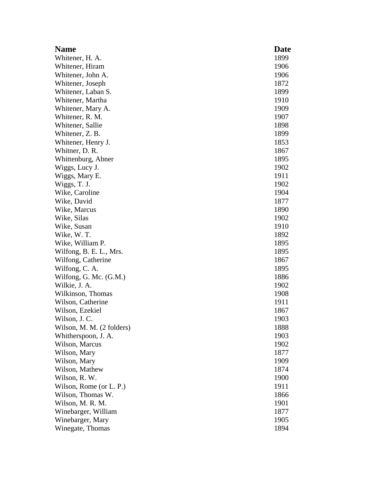| <b>Name</b>               | <b>Date</b> |
|---------------------------|-------------|
| Whitener, H. A.           | 1899        |
| Whitener, Hiram           | 1906        |
| Whitener, John A.         | 1906        |
| Whitener, Joseph          | 1872        |
| Whitener, Laban S.        | 1899        |
| Whitener, Martha          | 1910        |
| Whitener, Mary A.         | 1909        |
| Whitener, R. M.           | 1907        |
| Whitener, Sallie          | 1898        |
| Whitener, Z. B.           | 1899        |
| Whitener, Henry J.        | 1853        |
| Whitner, D. R.            | 1867        |
| Whittenburg, Abner        | 1895        |
| Wiggs, Lucy J.            | 1902        |
| Wiggs, Mary E.            | 1911        |
| Wiggs, T. J.              | 1902        |
| Wike, Caroline            | 1904        |
| Wike, David               | 1877        |
| Wike, Marcus              | 1890        |
| Wike, Silas               | 1902        |
| Wike, Susan               | 1910        |
| Wike, W.T.                | 1892        |
| Wike, William P.          | 1895        |
| Wilfong, B. E. L., Mrs.   | 1895        |
| Wilfong, Catherine        | 1867        |
| Wilfong, C. A.            | 1895        |
| Wilfong, G. Mc. (G.M.)    | 1886        |
| Wilkie, J. A.             | 1902        |
| Wilkinson, Thomas         | 1908        |
| Wilson, Catherine         | 1911        |
| Wilson, Ezekiel           | 1867        |
| Wilson, J. C.             | 1903        |
| Wilson, M. M. (2 folders) | 1888        |
| Whitherspoon, J. A.       | 1903        |
| Wilson, Marcus            | 1902        |
| Wilson, Mary              | 1877        |
| Wilson, Mary              | 1909        |
| Wilson, Mathew            | 1874        |
| Wilson, R. W.             | 1900        |
| Wilson, Rome (or L. P.)   | 1911        |
| Wilson, Thomas W.         | 1866        |
| Wilson, M. R. M.          | 1901        |
| Winebarger, William       | 1877        |
| Winebarger, Mary          | 1905        |
| Winegate, Thomas          | 1894        |
|                           |             |